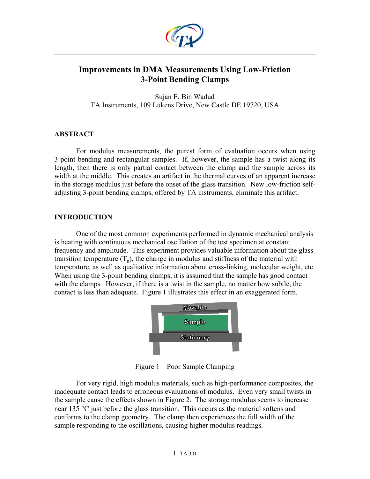

# **Improvements in DMA Measurements Using Low-Friction 3-Point Bending Clamps**

Sujan E. Bin Wadud TA Instruments, 109 Lukens Drive, New Castle DE 19720, USA

### **ABSTRACT**

For modulus measurements, the purest form of evaluation occurs when using 3-point bending and rectangular samples. If, however, the sample has a twist along its length, then there is only partial contact between the clamp and the sample across its width at the middle. This creates an artifact in the thermal curves of an apparent increase in the storage modulus just before the onset of the glass transition. New low-friction selfadjusting 3-point bending clamps, offered by TA instruments, eliminate this artifact.

### **INTRODUCTION**

One of the most common experiments performed in dynamic mechanical analysis is heating with continuous mechanical oscillation of the test specimen at constant frequency and amplitude. This experiment provides valuable information about the glass transition temperature  $(T_g)$ , the change in modulus and stiffness of the material with temperature, as well as qualitative information about cross-linking, molecular weight, etc. When using the 3-point bending clamps, it is assumed that the sample has good contact with the clamps. However, if there is a twist in the sample, no matter how subtle, the contact is less than adequate. Figure 1 illustrates this effect in an exaggerated form.



Figure 1 – Poor Sample Clamping

For very rigid, high modulus materials, such as high-performance composites, the inadequate contact leads to erroneous evaluations of modulus. Even very small twists in the sample cause the effects shown in Figure 2. The storage modulus seems to increase near 135 °C just before the glass transition. This occurs as the material softens and conforms to the clamp geometry. The clamp then experiences the full width of the sample responding to the oscillations, causing higher modulus readings.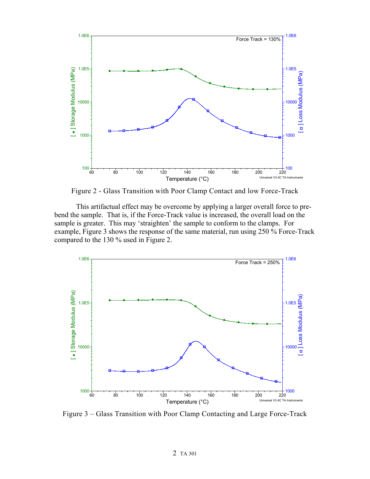

Figure 2 - Glass Transition with Poor Clamp Contact and low Force-Track

This artifactual effect may be overcome by applying a larger overall force to prebend the sample. That is, if the Force-Track value is increased, the overall load on the sample is greater. This may 'straighten' the sample to conform to the clamps. For example, Figure 3 shows the response of the same material, run using 250 % Force-Track compared to the 130 % used in Figure 2.



Figure 3 – Glass Transition with Poor Clamp Contacting and Large Force-Track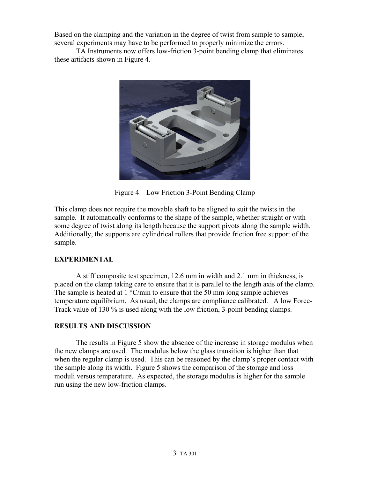Based on the clamping and the variation in the degree of twist from sample to sample, several experiments may have to be performed to properly minimize the errors.

TA Instruments now offers low-friction 3-point bending clamp that eliminates these artifacts shown in Figure 4.



Figure 4 – Low Friction 3-Point Bending Clamp

This clamp does not require the movable shaft to be aligned to suit the twists in the sample. It automatically conforms to the shape of the sample, whether straight or with some degree of twist along its length because the support pivots along the sample width. Additionally, the supports are cylindrical rollers that provide friction free support of the sample.

## **EXPERIMENTAL**

A stiff composite test specimen, 12.6 mm in width and 2.1 mm in thickness, is placed on the clamp taking care to ensure that it is parallel to the length axis of the clamp. The sample is heated at  $1 \degree C/\text{min}$  to ensure that the 50 mm long sample achieves temperature equilibrium. As usual, the clamps are compliance calibrated. A low Force-Track value of 130 % is used along with the low friction, 3-point bending clamps.

## **RESULTS AND DISCUSSION**

The results in Figure 5 show the absence of the increase in storage modulus when the new clamps are used. The modulus below the glass transition is higher than that when the regular clamp is used. This can be reasoned by the clamp's proper contact with the sample along its width. Figure 5 shows the comparison of the storage and loss moduli versus temperature. As expected, the storage modulus is higher for the sample run using the new low-friction clamps.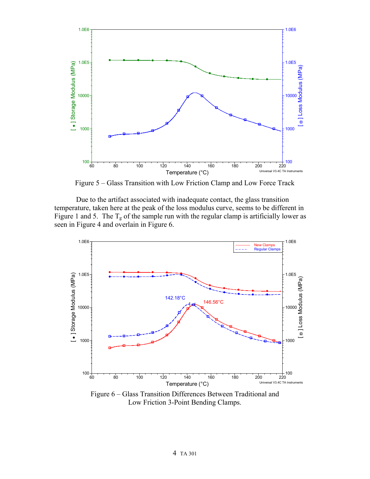

Figure 5 – Glass Transition with Low Friction Clamp and Low Force Track

Due to the artifact associated with inadequate contact, the glass transition temperature, taken here at the peak of the loss modulus curve, seems to be different in Figure 1 and 5. The  $T_g$  of the sample run with the regular clamp is artificially lower as seen in Figure 4 and overlain in Figure 6.



Figure 6 – Glass Transition Differences Between Traditional and Low Friction 3-Point Bending Clamps.